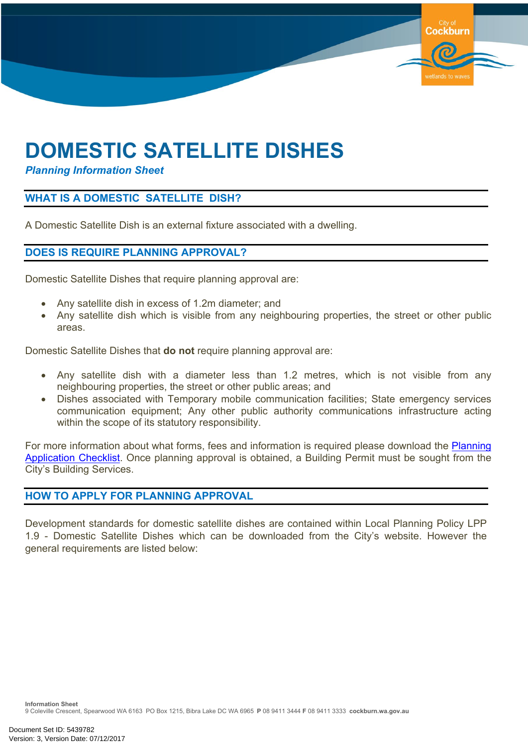# **DOMESTIC SATELLITE DISHES**

*Planning Information Sheet*

## **WHAT IS A DOMESTIC SATELLITE DISH?**

A Domestic Satellite Dish is an external fixture associated with a dwelling.

#### **DOES IS REQUIRE PLANNING APPROVAL?**

Domestic Satellite Dishes that require planning approval are:

- Any satellite dish in excess of 1.2m diameter; and
- Any satellite dish which is visible from any neighbouring properties, the street or other public areas.

**Cockburn** 

wetlands to way

Domestic Satellite Dishes that **do not** require planning approval are:

- Any satellite dish with a diameter less than 1.2 metres, which is not visible from any neighbouring properties, the street or other public areas; and
- Dishes associated with Temporary mobile communication facilities; State emergency services communication equipment; Any other public authority communications infrastructure acting within the scope of its statutory responsibility.

For more information about what forms, fees and information is required please download the [Planning](https://www.cockburn.wa.gov.au/Council/Documents-and-Publications/?page=1&tags=doggreen&sortby=) [Application](https://www.cockburn.wa.gov.au/Council/Documents-and-Publications/?page=1&tags=doggreen&sortby=) Checklist. Once planning approval is obtained, a Building Permit must be sought from the City's Building Services.

### **HOW TO APPLY FOR PLANNING APPROVAL**

Development standards for domestic satellite dishes are contained within Local Planning Policy LPP 1.9 - Domestic Satellite Dishes which can be downloaded from the City's website. However the general requirements are listed below: